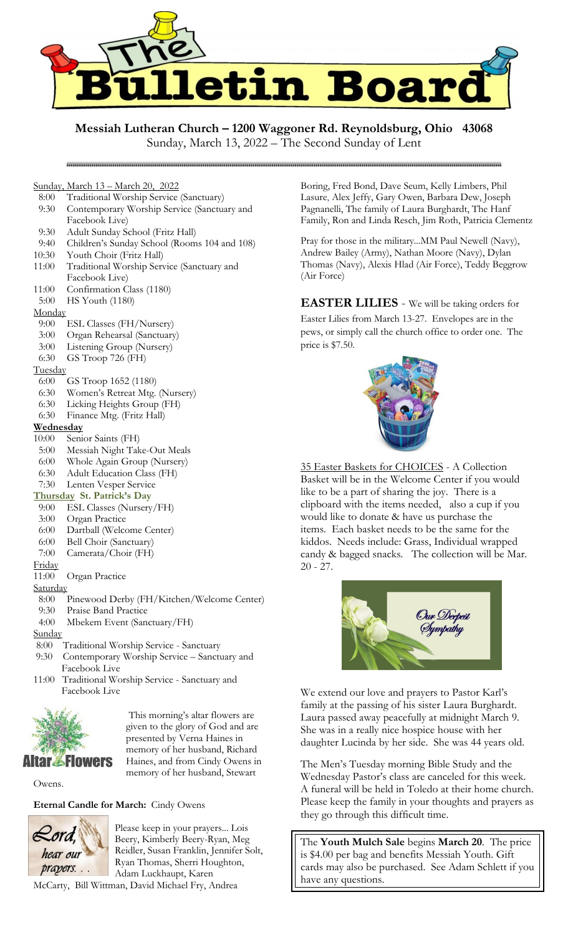

# **Messiah Lutheran Church – 1200 Waggoner Rd. Reynoldsburg, Ohio 43068**

Sunday, March 13, 2022 – The Second Sunday of Lent

# Sunday, March 13 – March 20, 2022

- 8:00 Traditional Worship Service (Sanctuary)
- 9:30 Contemporary Worship Service (Sanctuary and Facebook Live)
- 9:30 Adult Sunday School (Fritz Hall)
- 9:40 Children's Sunday School (Rooms 104 and 108)
- 10:30 Youth Choir (Fritz Hall)
- 11:00 Traditional Worship Service (Sanctuary and Facebook Live)
- 11:00 Confirmation Class (1180)
- 5:00 HS Youth (1180)

## **Monday**

- 9:00 ESL Classes (FH/Nursery)
- 3:00 Organ Rehearsal (Sanctuary)
- 3:00 Listening Group (Nursery)
- 6:30 GS Troop 726 (FH)

## **Tuesday**

- 6:00 GS Troop 1652 (1180)
- 6:30 Women's Retreat Mtg. (Nursery)
- 6:30 Licking Heights Group (FH)
- 6:30 Finance Mtg. (Fritz Hall)

# **Wednesday**

- 10:00 Senior Saints (FH)
- 5:00 Messiah Night Take-Out Meals
- 6:00 Whole Again Group (Nursery)
- 6:30 Adult Education Class (FH)
- 7:30 Lenten Vesper Service

# **Thursday St. Patrick's Day**

- 9:00 ESL Classes (Nursery/FH)
- 3:00 Organ Practice
- 6:00 Dartball (Welcome Center)
- 6:00 Bell Choir (Sanctuary)
- 7:00 Camerata/Choir (FH)

#### Friday

11:00 Organ Practice

## Saturday

- 8:00 Pinewood Derby (FH/Kitchen/Welcome Center)
- 9:30 Praise Band Practice
- 4:00 Mbekem Event (Sanctuary/FH)

## **Sunday**

- 8:00 Traditional Worship Service Sanctuary
- 9:30 Contemporary Worship Service Sanctuary and Facebook Live
- 11:00 Traditional Worship Service Sanctuary and Facebook Live



This morning's altar flowers are given to the glory of God and are presented by Verna Haines in memory of her husband, Richard Haines, and from Cindy Owens in memory of her husband, Stewart

Owens.

# **Eternal Candle for March:** Cindy Owens



Please keep in your prayers... Lois Beery, Kimberly Beery-Ryan, Meg Reidler, Susan Franklin, Jennifer Solt, Ryan Thomas, Sherri Houghton, Adam Luckhaupt, Karen

McCarty, Bill Wittman, David Michael Fry, Andrea

Boring, Fred Bond, Dave Seum, Kelly Limbers, Phil Lasure, Alex Jeffy, Gary Owen, Barbara Dew, Joseph Pagnanelli, The family of Laura Burghardt, The Hanf Family, Ron and Linda Resch, Jim Roth, Patricia Clementz

Pray for those in the military...MM Paul Newell (Navy), Andrew Bailey (Army), Nathan Moore (Navy), Dylan Thomas (Navy), Alexis Hlad (Air Force), Teddy Beggrow (Air Force)

**EASTER LILIES** - We will be taking orders for Easter Lilies from March 13-27. Envelopes are in the pews, or simply call the church office to order one. The price is \$7.50.



35 Easter Baskets for CHOICES - A Collection Basket will be in the Welcome Center if you would like to be a part of sharing the joy. There is a clipboard with the items needed, also a cup if you would like to donate & have us purchase the items. Each basket needs to be the same for the kiddos. Needs include: Grass, Individual wrapped candy & bagged snacks. The collection will be Mar. 20 - 27.



We extend our love and prayers to Pastor Karl's family at the passing of his sister Laura Burghardt. Laura passed away peacefully at midnight March 9. She was in a really nice hospice house with her daughter Lucinda by her side. She was 44 years old.

The Men's Tuesday morning Bible Study and the Wednesday Pastor's class are canceled for this week. A funeral will be held in Toledo at their home church. Please keep the family in your thoughts and prayers as they go through this difficult time.

The **Youth Mulch Sale** begins **March 20**. The price is \$4.00 per bag and benefits Messiah Youth. Gift cards may also be purchased. See Adam Schlett if you have any questions.